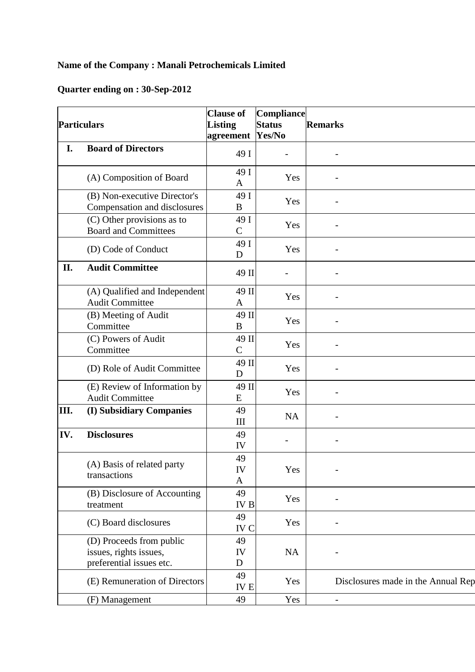## **Name of the Company : Manali Petrochemicals Limited**

## **Quarter ending on : 30-Sep-2012**

| <b>Particulars</b> |                                                                                | <b>Clause of</b><br><b>Listing</b><br>agreement | Compliance<br><b>Status</b><br>Yes/No | <b>Remarks</b>                     |
|--------------------|--------------------------------------------------------------------------------|-------------------------------------------------|---------------------------------------|------------------------------------|
| I.                 | <b>Board of Directors</b>                                                      | 49 I                                            | $\overline{a}$                        |                                    |
|                    | (A) Composition of Board                                                       | 49 I<br>$\mathbf{A}$                            | Yes                                   |                                    |
|                    | (B) Non-executive Director's<br>Compensation and disclosures                   | 49 I<br>B                                       | Yes                                   |                                    |
|                    | (C) Other provisions as to<br><b>Board and Committees</b>                      | 49 I<br>$\mathbf C$                             | Yes                                   |                                    |
|                    | (D) Code of Conduct                                                            | 49 I<br>D                                       | Yes                                   |                                    |
| II.                | <b>Audit Committee</b>                                                         | 49 II                                           |                                       |                                    |
|                    | (A) Qualified and Independent<br><b>Audit Committee</b>                        | 49 II<br>$\mathbf{A}$                           | Yes                                   |                                    |
|                    | (B) Meeting of Audit<br>Committee                                              | 49 II<br>B                                      | Yes                                   |                                    |
|                    | (C) Powers of Audit<br>Committee                                               | 49 II<br>$\mathbf C$                            | Yes                                   |                                    |
|                    | (D) Role of Audit Committee                                                    | 49 II<br>D                                      | Yes                                   |                                    |
|                    | (E) Review of Information by<br><b>Audit Committee</b>                         | 49 II<br>E                                      | Yes                                   |                                    |
| III.               | (I) Subsidiary Companies                                                       | 49<br>III                                       | NA                                    |                                    |
| IV.                | <b>Disclosures</b>                                                             | 49<br>IV                                        |                                       |                                    |
|                    | (A) Basis of related party<br>transactions                                     | 49<br>IV<br>A                                   | Yes                                   |                                    |
|                    | (B) Disclosure of Accounting<br>treatment                                      | 49<br><b>IVB</b>                                | Yes                                   |                                    |
|                    | (C) Board disclosures                                                          | 49<br>IV C                                      | Yes                                   |                                    |
|                    | (D) Proceeds from public<br>issues, rights issues,<br>preferential issues etc. | 49<br>IV<br>D                                   | NA                                    |                                    |
|                    | (E) Remuneration of Directors                                                  | 49<br><b>IVE</b>                                | Yes                                   | Disclosures made in the Annual Rep |
|                    | (F) Management                                                                 | 49                                              | Yes                                   |                                    |